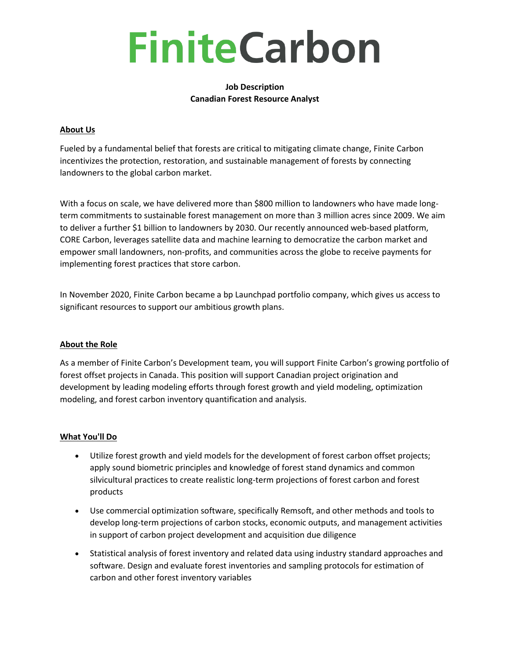# **FiniteCarbon**

# **Job Description Canadian Forest Resource Analyst**

# **About Us**

Fueled by a fundamental belief that forests are critical to mitigating climate change, Finite Carbon incentivizes the protection, restoration, and sustainable management of forests by connecting landowners to the global carbon market.

With a focus on scale, we have delivered more than \$800 million to landowners who have made longterm commitments to sustainable forest management on more than 3 million acres since 2009. We aim to deliver a further \$1 billion to landowners by 2030. Our recently announced web-based platform, CORE Carbon, leverages satellite data and machine learning to democratize the carbon market and empower small landowners, non-profits, and communities across the globe to receive payments for implementing forest practices that store carbon.

In November 2020, Finite Carbon became a bp Launchpad portfolio company, which gives us access to significant resources to support our ambitious growth plans.

## **About the Role**

As a member of Finite Carbon's Development team, you will support Finite Carbon's growing portfolio of forest offset projects in Canada. This position will support Canadian project origination and development by leading modeling efforts through forest growth and yield modeling, optimization modeling, and forest carbon inventory quantification and analysis.

## **What You'll Do**

- Utilize forest growth and yield models for the development of forest carbon offset projects; apply sound biometric principles and knowledge of forest stand dynamics and common silvicultural practices to create realistic long-term projections of forest carbon and forest products
- Use commercial optimization software, specifically Remsoft, and other methods and tools to develop long-term projections of carbon stocks, economic outputs, and management activities in support of carbon project development and acquisition due diligence
- Statistical analysis of forest inventory and related data using industry standard approaches and software. Design and evaluate forest inventories and sampling protocols for estimation of carbon and other forest inventory variables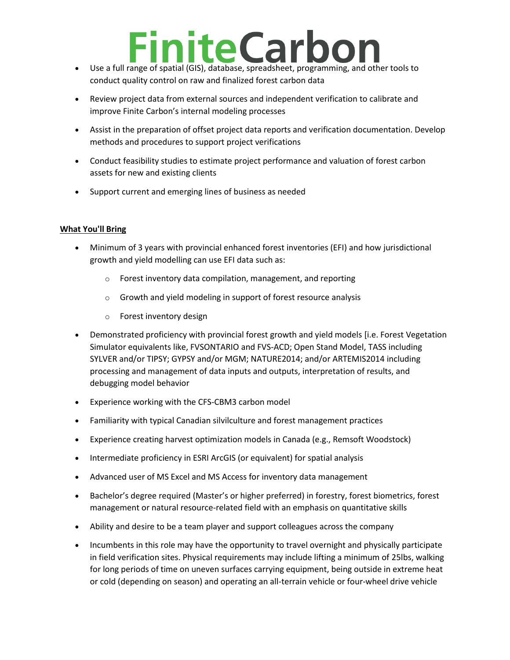# **FiniteCarbor**

- Use a full range of spatial (GIS), database, spreadsheet, programming, and other tools to conduct quality control on raw and finalized forest carbon data
- Review project data from external sources and independent verification to calibrate and improve Finite Carbon's internal modeling processes
- Assist in the preparation of offset project data reports and verification documentation. Develop methods and procedures to support project verifications
- Conduct feasibility studies to estimate project performance and valuation of forest carbon assets for new and existing clients
- Support current and emerging lines of business as needed

# **What You'll Bring**

- Minimum of 3 years with provincial enhanced forest inventories (EFI) and how jurisdictional growth and yield modelling can use EFI data such as:
	- $\circ$  Forest inventory data compilation, management, and reporting
	- o Growth and yield modeling in support of forest resource analysis
	- o Forest inventory design
- Demonstrated proficiency with provincial forest growth and yield models [i.e. Forest Vegetation Simulator equivalents like, FVSONTARIO and FVS-ACD; Open Stand Model, TASS including SYLVER and/or TIPSY; GYPSY and/or MGM; NATURE2014; and/or ARTEMIS2014 including processing and management of data inputs and outputs, interpretation of results, and debugging model behavior
- Experience working with the CFS-CBM3 carbon model
- Familiarity with typical Canadian silvilculture and forest management practices
- Experience creating harvest optimization models in Canada (e.g., Remsoft Woodstock)
- Intermediate proficiency in ESRI ArcGIS (or equivalent) for spatial analysis
- Advanced user of MS Excel and MS Access for inventory data management
- Bachelor's degree required (Master's or higher preferred) in forestry, forest biometrics, forest management or natural resource-related field with an emphasis on quantitative skills
- Ability and desire to be a team player and support colleagues across the company
- Incumbents in this role may have the opportunity to travel overnight and physically participate in field verification sites. Physical requirements may include lifting a minimum of 25lbs, walking for long periods of time on uneven surfaces carrying equipment, being outside in extreme heat or cold (depending on season) and operating an all-terrain vehicle or four-wheel drive vehicle